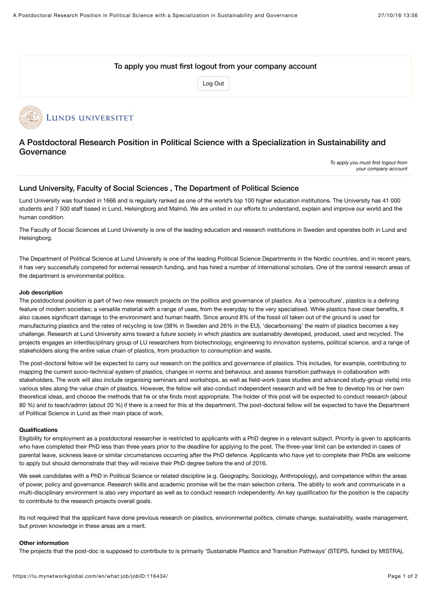# To apply you must first logout from your company account

[Log Out](https://lu.mynetworkglobal.com/coremodule/logout/)



# A Postdoctoral Research Position in Political Science with a Specialization in Sustainability and **Governance**

*To apply you must first logout from your company account*

# Lund University, Faculty of Social Sciences , The Department of Political Science

Lund University was founded in 1666 and is regularly ranked as one of the world's top 100 higher education institutions. The University has 41 000 students and 7 500 staff based in Lund, Helsingborg and Malmö. We are united in our efforts to understand, explain and improve our world and the human condition.

The Faculty of Social Sciences at Lund University is one of the leading education and research institutions in Sweden and operates both in Lund and Helsingborg.

The Department of Political Science at Lund University is one of the leading Political Science Departments in the Nordic countries, and in recent years, it has very successfully competed for external research funding, and has hired a number of international scholars. One of the central research areas of the department is environmental politics.

#### **Job description**

The postdoctoral position is part of two new research projects on the politics and governance of plastics. As a 'petroculture', plastics is a defining feature of modern societies; a versatile material with a range of uses, from the everyday to the very specialised. While plastics have clear benefits, it also causes significant damage to the environment and human health. Since around 8% of the fossil oil taken out of the ground is used for manufacturing plastics and the rates of recycling is low (38% in Sweden and 26% in the EU), 'decarbonising' the realm of plastics becomes a key challenge. Research at Lund University aims toward a future society in which plastics are sustainably developed, produced, used and recycled. The projects engages an interdisciplinary group of LU researchers from biotechnology, engineering to innovation systems, political science, and a range of stakeholders along the entire value chain of plastics, from production to consumption and waste.

The post-doctoral fellow will be expected to carry out research on the politics and governance of plastics. This includes, for example, contributing to mapping the current socio-technical system of plastics, changes in norms and behaviour, and assess transition pathways in collaboration with stakeholders. The work will also include organising seminars and workshops, as well as field-work (case studies and advanced study-group visits) into various sites along the value chain of plastics. However, the fellow will also conduct independent research and will be free to develop his or her own theoretical ideas, and choose the methods that he or she finds most appropriate. The holder of this post will be expected to conduct research (about 80 %) and to teach/admin (about 20 %) if there is a need for this at the department. The post-doctoral fellow will be expected to have the Department of Political Science in Lund as their main place of work.

#### **Qualifications**

Eligibility for employment as a postdoctoral researcher is restricted to applicants with a PhD degree in a relevant subject. Priority is given to applicants who have completed their PhD less than three years prior to the deadline for applying to the post. The three-year limit can be extended in cases of parental leave, sickness leave or similar circumstances occurring after the PhD defence. Applicants who have yet to complete their PhDs are welcome to apply but should demonstrate that they will receive their PhD degree before the end of 2016.

We seek candidates with a PhD in Political Science or related discipline (e.g. Geography, Sociology, Anthropology), and competence within the areas of power, policy and governance. Research skills and academic promise will be the main selection criteria. The ability to work and communicate in a multi-disciplinary environment is also very important as well as to conduct research independently. An key qualification for the position is the capacity to contribute to the research projects overall goals.

Its not required that the applicant have done previous research on plastics, environmental politics, climate change, sustainability, waste management, but proven knowledge in these areas are a merit.

#### **Other information**

The projects that the post-doc is supposed to contribute to is primarily 'Sustainable Plastics and Transition Pathways' (STEPS, funded by MISTRA),